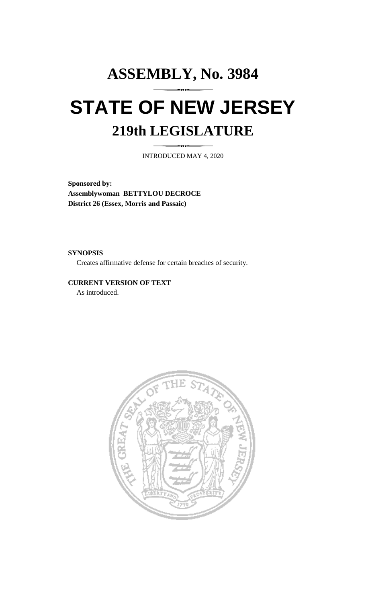## **ASSEMBLY, No. 3984 STATE OF NEW JERSEY 219th LEGISLATURE**

INTRODUCED MAY 4, 2020

**Sponsored by: Assemblywoman BETTYLOU DECROCE District 26 (Essex, Morris and Passaic)**

**SYNOPSIS**

Creates affirmative defense for certain breaches of security.

**CURRENT VERSION OF TEXT**  As introduced.

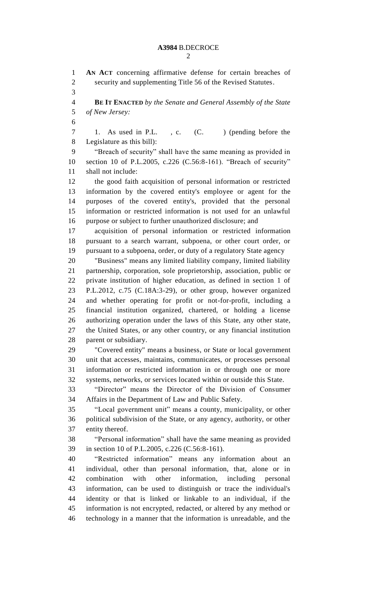**AN ACT** concerning affirmative defense for certain breaches of security and supplementing Title 56 of the Revised Statutes. **BE IT ENACTED** *by the Senate and General Assembly of the State of New Jersey:* 7 1. As used in P.L., c. (C. ) (pending before the Legislature as this bill): "Breach of security" shall have the same meaning as provided in section 10 of P.L.2005, c.226 (C.56:8-161). "Breach of security" shall not include: the good faith acquisition of personal information or restricted information by the covered entity's employee or agent for the purposes of the covered entity's, provided that the personal information or restricted information is not used for an unlawful purpose or subject to further unauthorized disclosure; and acquisition of personal information or restricted information pursuant to a search warrant, subpoena, or other court order, or pursuant to a subpoena, order, or duty of a regulatory State agency "Business" means any limited liability company, limited liability partnership, corporation, sole proprietorship, association, public or private institution of higher education, as defined in section 1 of P.L.2012, c.75 (C.18A:3-29), or other group, however organized and whether operating for profit or not-for-profit, including a financial institution organized, chartered, or holding a license authorizing operation under the laws of this State, any other state, the United States, or any other country, or any financial institution parent or subsidiary. "Covered entity" means a business, or State or local government unit that accesses, maintains, communicates, or processes personal information or restricted information in or through one or more systems, networks, or services located within or outside this State. "Director" means the Director of the Division of Consumer Affairs in the Department of Law and Public Safety. "Local government unit" means a county, municipality, or other political subdivision of the State, or any agency, authority, or other entity thereof. "Personal information" shall have the same meaning as provided in section 10 of P.L.2005, c.226 (C.56:8-161). "Restricted information" means any information about an individual, other than personal information, that, alone or in combination with other information, including personal information, can be used to distinguish or trace the individual's

 identity or that is linked or linkable to an individual, if the information is not encrypted, redacted, or altered by any method or technology in a manner that the information is unreadable, and the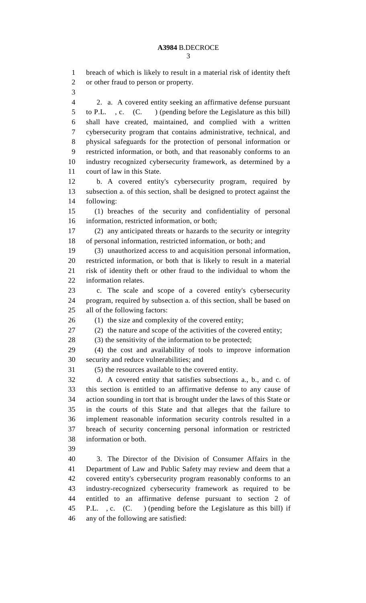breach of which is likely to result in a material risk of identity theft or other fraud to person or property. 2. a. A covered entity seeking an affirmative defense pursuant to P.L. , c. (C. ) (pending before the Legislature as this bill) shall have created, maintained, and complied with a written cybersecurity program that contains administrative, technical, and physical safeguards for the protection of personal information or restricted information, or both, and that reasonably conforms to an industry recognized cybersecurity framework, as determined by a court of law in this State. b. A covered entity's cybersecurity program, required by subsection a. of this section, shall be designed to protect against the following: (1) breaches of the security and confidentiality of personal information, restricted information, or both; (2) any anticipated threats or hazards to the security or integrity of personal information, restricted information, or both; and (3) unauthorized access to and acquisition personal information, restricted information, or both that is likely to result in a material risk of identity theft or other fraud to the individual to whom the information relates. c. The scale and scope of a covered entity's cybersecurity program, required by subsection a. of this section, shall be based on all of the following factors: 26 (1) the size and complexity of the covered entity; (2) the nature and scope of the activities of the covered entity; (3) the sensitivity of the information to be protected; (4) the cost and availability of tools to improve information security and reduce vulnerabilities; and (5) the resources available to the covered entity. d. A covered entity that satisfies subsections a., b., and c. of this section is entitled to an affirmative defense to any cause of action sounding in tort that is brought under the laws of this State or in the courts of this State and that alleges that the failure to implement reasonable information security controls resulted in a breach of security concerning personal information or restricted information or both. 3. The Director of the Division of Consumer Affairs in the Department of Law and Public Safety may review and deem that a

 covered entity's cybersecurity program reasonably conforms to an industry-recognized cybersecurity framework as required to be entitled to an affirmative defense pursuant to section 2 of P.L. , c. (C. ) (pending before the Legislature as this bill) if any of the following are satisfied: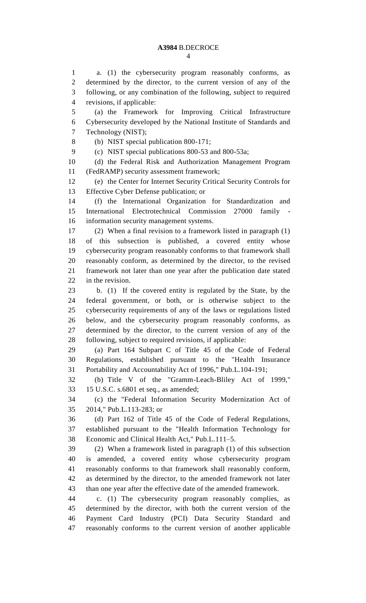## **A3984** B.DECROCE

 a. (1) the cybersecurity program reasonably conforms, as determined by the director, to the current version of any of the following, or any combination of the following, subject to required revisions, if applicable:

 (a) the Framework for Improving Critical Infrastructure Cybersecurity developed by the National Institute of Standards and Technology (NIST);

(b) NIST special publication 800-171;

(c) NIST special publications 800-53 and 800-53a;

 (d) the Federal Risk and Authorization Management Program (FedRAMP) security assessment framework;

 (e) the Center for Internet Security Critical Security Controls for Effective Cyber Defense publication; or

 (f) the International Organization for Standardization and International Electrotechnical Commission 27000 family - information security management systems.

 (2) When a final revision to a framework listed in paragraph (1) of this subsection is published, a covered entity whose cybersecurity program reasonably conforms to that framework shall reasonably conform, as determined by the director, to the revised framework not later than one year after the publication date stated in the revision.

 b. (1) If the covered entity is regulated by the State, by the federal government, or both, or is otherwise subject to the cybersecurity requirements of any of the laws or regulations listed below, and the cybersecurity program reasonably conforms, as determined by the director, to the current version of any of the following, subject to required revisions, if applicable:

 (a) Part 164 Subpart C of Title 45 of the Code of Federal Regulations, established pursuant to the "Health Insurance Portability and Accountability Act of 1996," Pub.L.104-191;

 (b) Title V of the "Gramm-Leach-Bliley Act of 1999," 15 U.S.C. s.6801 et seq., as amended;

 (c) the "Federal Information Security Modernization Act of 2014," Pub.L.113-283; or

 (d) Part 162 of Title 45 of the Code of Federal Regulations, established pursuant to the "Health Information Technology for Economic and Clinical Health Act," Pub.L.111–5.

 (2) When a framework listed in paragraph (1) of this subsection is amended, a covered entity whose cybersecurity program reasonably conforms to that framework shall reasonably conform, as determined by the director, to the amended framework not later than one year after the effective date of the amended framework.

 c. (1) The cybersecurity program reasonably complies, as determined by the director, with both the current version of the Payment Card Industry (PCI) Data Security Standard and reasonably conforms to the current version of another applicable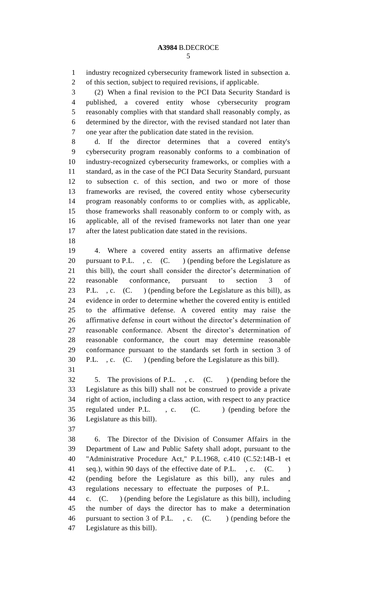industry recognized cybersecurity framework listed in subsection a. of this section, subject to required revisions, if applicable.

 (2) When a final revision to the PCI Data Security Standard is published, a covered entity whose cybersecurity program reasonably complies with that standard shall reasonably comply, as determined by the director, with the revised standard not later than one year after the publication date stated in the revision.

 d. If the director determines that a covered entity's cybersecurity program reasonably conforms to a combination of industry-recognized cybersecurity frameworks, or complies with a standard, as in the case of the PCI Data Security Standard, pursuant to subsection c. of this section, and two or more of those frameworks are revised, the covered entity whose cybersecurity program reasonably conforms to or complies with, as applicable, those frameworks shall reasonably conform to or comply with, as applicable, all of the revised frameworks not later than one year after the latest publication date stated in the revisions.

 4. Where a covered entity asserts an affirmative defense 20 pursuant to P.L. , c. (C. ) (pending before the Legislature as this bill), the court shall consider the director's determination of reasonable conformance, pursuant to section 3 of P.L. , c. (C. ) (pending before the Legislature as this bill), as evidence in order to determine whether the covered entity is entitled to the affirmative defense. A covered entity may raise the affirmative defense in court without the director's determination of reasonable conformance. Absent the director's determination of reasonable conformance, the court may determine reasonable conformance pursuant to the standards set forth in section 3 of P.L. , c. (C. ) (pending before the Legislature as this bill). 

 5. The provisions of P.L. , c. (C. ) (pending before the Legislature as this bill) shall not be construed to provide a private right of action, including a class action, with respect to any practice 35 regulated under P.L., c. (C.) (pending before the Legislature as this bill).

 6. The Director of the Division of Consumer Affairs in the Department of Law and Public Safety shall adopt, pursuant to the "Administrative Procedure Act," P.L.1968, c.410 (C.52:14B-1 et 41 seq.), within 90 days of the effective date of P.L., c. (C.) (pending before the Legislature as this bill), any rules and 43 regulations necessary to effectuate the purposes of P.L. c. (C. ) (pending before the Legislature as this bill), including the number of days the director has to make a determination pursuant to section 3 of P.L. , c. (C. ) (pending before the Legislature as this bill).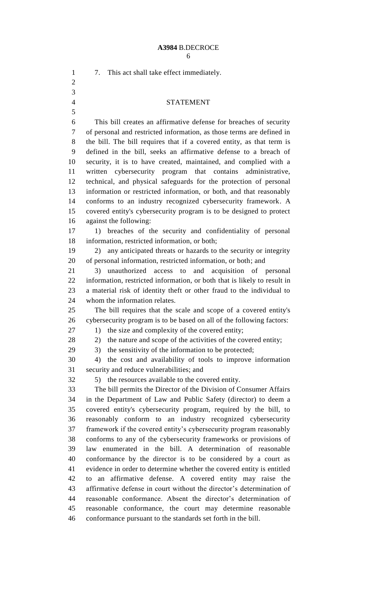## **A3984** B.DECROCE

| 1<br>$\overline{2}$ | This act shall take effect immediately.<br>7.                                                                                          |
|---------------------|----------------------------------------------------------------------------------------------------------------------------------------|
| 3                   |                                                                                                                                        |
|                     |                                                                                                                                        |
| $\overline{4}$      | <b>STATEMENT</b>                                                                                                                       |
| 5                   |                                                                                                                                        |
| 6                   | This bill creates an affirmative defense for breaches of security                                                                      |
| 7                   | of personal and restricted information, as those terms are defined in                                                                  |
| 8                   | the bill. The bill requires that if a covered entity, as that term is                                                                  |
| 9                   | defined in the bill, seeks an affirmative defense to a breach of                                                                       |
| 10                  | security, it is to have created, maintained, and complied with a                                                                       |
| 11                  | written cybersecurity program that contains administrative,                                                                            |
| 12                  | technical, and physical safeguards for the protection of personal                                                                      |
| 13                  | information or restricted information, or both, and that reasonably                                                                    |
| 14                  | conforms to an industry recognized cybersecurity framework. A                                                                          |
| 15                  | covered entity's cybersecurity program is to be designed to protect                                                                    |
| 16                  | against the following:                                                                                                                 |
| 17                  | breaches of the security and confidentiality of personal<br>1)                                                                         |
| 18                  | information, restricted information, or both;                                                                                          |
| 19                  | any anticipated threats or hazards to the security or integrity<br>2)                                                                  |
| 20                  | of personal information, restricted information, or both; and                                                                          |
| 21                  | unauthorized access to<br>and acquisition of personal<br>3)                                                                            |
| 22                  | information, restricted information, or both that is likely to result in                                                               |
| 23                  | a material risk of identity theft or other fraud to the individual to                                                                  |
| 24                  | whom the information relates.                                                                                                          |
| 25                  | The bill requires that the scale and scope of a covered entity's                                                                       |
| 26                  | cybersecurity program is to be based on all of the following factors:                                                                  |
| 27                  | 1) the size and complexity of the covered entity;                                                                                      |
| 28                  | the nature and scope of the activities of the covered entity;<br>2)                                                                    |
| 29                  | the sensitivity of the information to be protected;<br>3)                                                                              |
| 30                  | the cost and availability of tools to improve information<br>4)                                                                        |
| 31                  | security and reduce vulnerabilities; and                                                                                               |
| 32                  | the resources available to the covered entity.<br>5)                                                                                   |
| 33                  | The bill permits the Director of the Division of Consumer Affairs                                                                      |
| 34                  | in the Department of Law and Public Safety (director) to deem a                                                                        |
| 35<br>36            | covered entity's cybersecurity program, required by the bill, to                                                                       |
| 37                  | reasonably conform to an industry recognized cybersecurity                                                                             |
| 38                  | framework if the covered entity's cybersecurity program reasonably<br>conforms to any of the cybersecurity frameworks or provisions of |
| 39                  | law enumerated in the bill. A determination of reasonable                                                                              |
| 40                  | conformance by the director is to be considered by a court as                                                                          |
| 41                  | evidence in order to determine whether the covered entity is entitled                                                                  |
| 42                  | an affirmative defense. A covered entity may raise the<br>to                                                                           |
| 43                  | affirmative defense in court without the director's determination of                                                                   |
| 44                  | reasonable conformance. Absent the director's determination of                                                                         |
| 45                  | reasonable conformance, the court may determine reasonable                                                                             |
| 46                  | conformance pursuant to the standards set forth in the bill.                                                                           |
|                     |                                                                                                                                        |